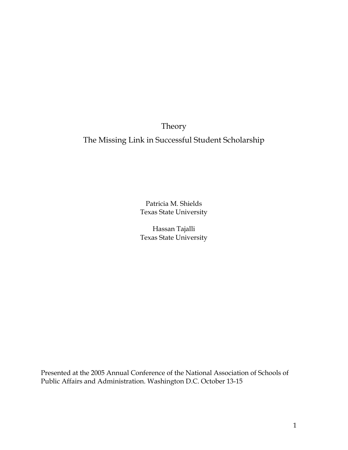Theory

The Missing Link in Successful Student Scholarship

Patricia M. Shields Texas State University

Hassan Tajalli Texas State University

Presented at the 2005 Annual Conference of the National Association of Schools of Public Affairs and Administration. Washington D.C. October 13-15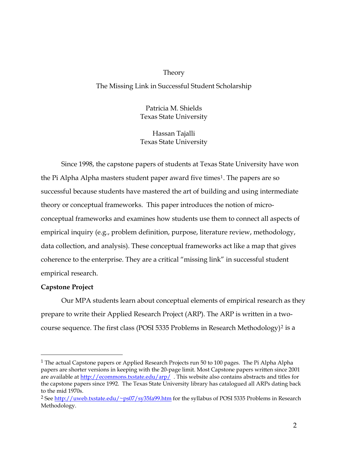### Theory

The Missing Link in Successful Student Scholarship

Patricia M. Shields Texas State University

Hassan Tajalli Texas State University

Since 1998, the capstone papers of students at Texas State University have won the Pi Alpha Alpha masters student paper award five times<sup>[1](#page-1-0)</sup>. The papers are so successful because students have mastered the art of building and using intermediate theory or conceptual frameworks. This paper introduces the notion of microconceptual frameworks and examines how students use them to connect all aspects of empirical inquiry (e.g., problem definition, purpose, literature review, methodology, data collection, and analysis). These conceptual frameworks act like a map that gives coherence to the enterprise. They are a critical "missing link" in successful student empirical research.

### **Capstone Project**

 $\overline{a}$ 

Our MPA students learn about conceptual elements of empirical research as they prepare to write their Applied Research Project (ARP). The ARP is written in a two-course sequence. The first class (POSI 5335 Problems in Research Methodology)<sup>[2](#page-1-1)</sup> is a

<span id="page-1-0"></span><sup>&</sup>lt;sup>1</sup> The actual Capstone papers or Applied Research Projects run 50 to 100 pages. The Pi Alpha Alpha papers are shorter versions in keeping with the 20-page limit. Most Capstone papers written since 2001 are available at <http://ecommons.txstate.edu/arp/> . This website also contains abstracts and titles for the capstone papers since 1992. The Texas State University library has catalogued all ARPs dating back to the mid 1970s.

<span id="page-1-1"></span><sup>&</sup>lt;sup>2</sup> See http://<u>uweb.txstate.edu/~ps07/sy35fa99.htm</u> for the syllabus of POSI 5335 Problems in Research Methodology.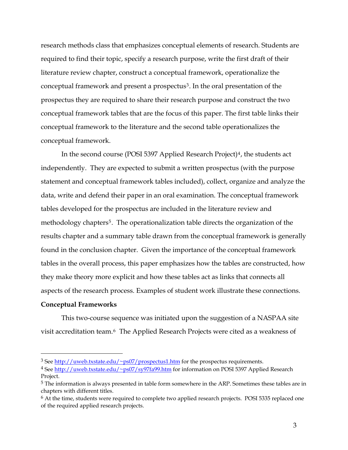research methods class that emphasizes conceptual elements of research. Students are required to find their topic, specify a research purpose, write the first draft of their literature review chapter, construct a conceptual framework, operationalize the conceptual framework and present a prospectus<sup>[3](#page-2-0)</sup>. In the oral presentation of the prospectus they are required to share their research purpose and construct the two conceptual framework tables that are the focus of this paper. The first table links their conceptual framework to the literature and the second table operationalizes the conceptual framework.

In the second course (POSI 5397 Applied Research Project)<sup>[4](#page-2-1)</sup>, the students act independently. They are expected to submit a written prospectus (with the purpose statement and conceptual framework tables included), collect, organize and analyze the data, write and defend their paper in an oral examination. The conceptual framework tables developed for the prospectus are included in the literature review and methodology chapters<sup>[5](#page-2-2)</sup>. The operationalization table directs the organization of the results chapter and a summary table drawn from the conceptual framework is generally found in the conclusion chapter. Given the importance of the conceptual framework tables in the overall process, this paper emphasizes how the tables are constructed, how they make theory more explicit and how these tables act as links that connects all aspects of the research process. Examples of student work illustrate these connections.

### **Conceptual Frameworks**

 $\overline{a}$ 

This two-course sequence was initiated upon the suggestion of a NASPAA site visit accreditation team.[6](#page-2-3) The Applied Research Projects were cited as a weakness of

<span id="page-2-0"></span><sup>&</sup>lt;sup>3</sup> See [http://uweb.txstate.edu/~ps07/prospectus1.htm](http://uweb.txstate.edu/%7Eps07/prospectus1.htm) for the prospectus requirements.

<span id="page-2-1"></span><sup>&</sup>lt;sup>4</sup> See [http://uweb.txstate.edu/~ps07/sy97fa99.htm](http://uweb.txstate.edu/%7Eps07/sy97fa99.htm) for information on POSI 5397 Applied Research Project.

<span id="page-2-2"></span><sup>5</sup> The information is always presented in table form somewhere in the ARP. Sometimes these tables are in chapters with different titles.

<span id="page-2-3"></span><sup>&</sup>lt;sup>6</sup> At the time, students were required to complete two applied research projects. POSI 5335 replaced one of the required applied research projects.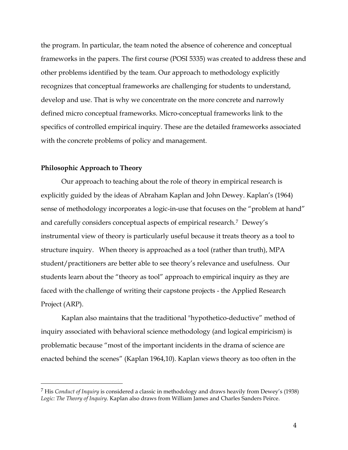the program. In particular, the team noted the absence of coherence and conceptual frameworks in the papers. The first course (POSI 5335) was created to address these and other problems identified by the team. Our approach to methodology explicitly recognizes that conceptual frameworks are challenging for students to understand, develop and use. That is why we concentrate on the more concrete and narrowly defined micro conceptual frameworks. Micro-conceptual frameworks link to the specifics of controlled empirical inquiry. These are the detailed frameworks associated with the concrete problems of policy and management.

### **Philosophic Approach to Theory**

 $\overline{a}$ 

 Our approach to teaching about the role of theory in empirical research is explicitly guided by the ideas of Abraham Kaplan and John Dewey. Kaplan's (1964) sense of methodology incorporates a logic-in-use that focuses on the "problem at hand" and carefully considers conceptual aspects of empirical research.[7](#page-3-0) Dewey's instrumental view of theory is particularly useful because it treats theory as a tool to structure inquiry. When theory is approached as a tool (rather than truth), MPA student/practitioners are better able to see theory's relevance and usefulness. Our students learn about the "theory as tool" approach to empirical inquiry as they are faced with the challenge of writing their capstone projects - the Applied Research Project (ARP).

 Kaplan also maintains that the traditional "hypothetico-deductive" method of inquiry associated with behavioral science methodology (and logical empiricism) is problematic because "most of the important incidents in the drama of science are enacted behind the scenes" (Kaplan 1964,10). Kaplan views theory as too often in the

<span id="page-3-0"></span><sup>7</sup> His *Conduct of Inquiry* is considered a classic in methodology and draws heavily from Dewey's (1938) *Logic: The Theory of Inquiry*. Kaplan also draws from William James and Charles Sanders Peirce.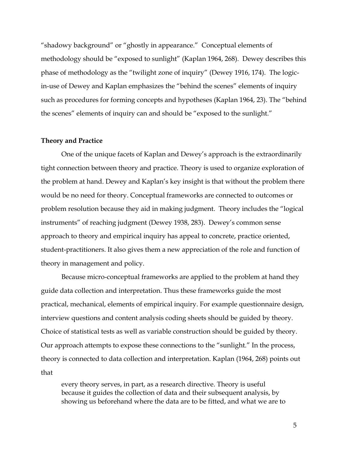"shadowy background" or "ghostly in appearance." Conceptual elements of methodology should be "exposed to sunlight" (Kaplan 1964, 268). Dewey describes this phase of methodology as the "twilight zone of inquiry" (Dewey 1916, 174). The logicin-use of Dewey and Kaplan emphasizes the "behind the scenes" elements of inquiry such as procedures for forming concepts and hypotheses (Kaplan 1964, 23). The "behind the scenes" elements of inquiry can and should be "exposed to the sunlight."

#### **Theory and Practice**

 One of the unique facets of Kaplan and Dewey's approach is the extraordinarily tight connection between theory and practice. Theory is used to organize exploration of the problem at hand. Dewey and Kaplan's key insight is that without the problem there would be no need for theory. Conceptual frameworks are connected to outcomes or problem resolution because they aid in making judgment. Theory includes the "logical instruments" of reaching judgment (Dewey 1938, 283). Dewey's common sense approach to theory and empirical inquiry has appeal to concrete, practice oriented, student-practitioners. It also gives them a new appreciation of the role and function of theory in management and policy.

 Because micro-conceptual frameworks are applied to the problem at hand they guide data collection and interpretation. Thus these frameworks guide the most practical, mechanical, elements of empirical inquiry. For example questionnaire design, interview questions and content analysis coding sheets should be guided by theory. Choice of statistical tests as well as variable construction should be guided by theory. Our approach attempts to expose these connections to the "sunlight." In the process, theory is connected to data collection and interpretation. Kaplan (1964, 268) points out that

every theory serves, in part, as a research directive. Theory is useful because it guides the collection of data and their subsequent analysis, by showing us beforehand where the data are to be fitted, and what we are to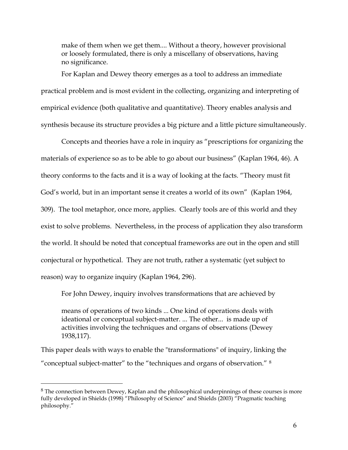make of them when we get them.... Without a theory, however provisional or loosely formulated, there is only a miscellany of observations, having no significance.

For Kaplan and Dewey theory emerges as a tool to address an immediate practical problem and is most evident in the collecting, organizing and interpreting of empirical evidence (both qualitative and quantitative). Theory enables analysis and synthesis because its structure provides a big picture and a little picture simultaneously.

 Concepts and theories have a role in inquiry as "prescriptions for organizing the materials of experience so as to be able to go about our business" (Kaplan 1964, 46). A theory conforms to the facts and it is a way of looking at the facts. "Theory must fit God's world, but in an important sense it creates a world of its own" (Kaplan 1964, 309). The tool metaphor, once more, applies. Clearly tools are of this world and they exist to solve problems. Nevertheless, in the process of application they also transform the world. It should be noted that conceptual frameworks are out in the open and still conjectural or hypothetical. They are not truth, rather a systematic (yet subject to reason) way to organize inquiry (Kaplan 1964, 296).

For John Dewey, inquiry involves transformations that are achieved by

means of operations of two kinds ... One kind of operations deals with ideational or conceptual subject-matter. ... The other... is made up of activities involving the techniques and organs of observations (Dewey 1938,117).

This paper deals with ways to enable the "transformations" of inquiry, linking the "conceptual subject-matter" to the "techniques and organs of observation." [8](#page-5-0)

 $\overline{a}$ 

<span id="page-5-0"></span><sup>&</sup>lt;sup>8</sup> The connection between Dewey, Kaplan and the philosophical underpinnings of these courses is more fully developed in Shields (1998) "Philosophy of Science" and Shields (2003) "Pragmatic teaching philosophy."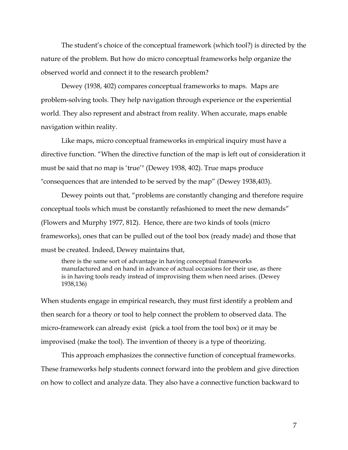The student's choice of the conceptual framework (which tool?) is directed by the nature of the problem. But how do micro conceptual frameworks help organize the observed world and connect it to the research problem?

 Dewey (1938, 402) compares conceptual frameworks to maps. Maps are problem-solving tools. They help navigation through experience or the experiential world. They also represent and abstract from reality. When accurate, maps enable navigation within reality.

 Like maps, micro conceptual frameworks in empirical inquiry must have a directive function. "When the directive function of the map is left out of consideration it must be said that no map is 'true'" (Dewey 1938, 402). True maps produce "consequences that are intended to be served by the map" (Dewey 1938,403).

 Dewey points out that, "problems are constantly changing and therefore require conceptual tools which must be constantly refashioned to meet the new demands" (Flowers and Murphy 1977, 812). Hence, there are two kinds of tools (micro frameworks), ones that can be pulled out of the tool box (ready made) and those that must be created. Indeed, Dewey maintains that,

there is the same sort of advantage in having conceptual frameworks manufactured and on hand in advance of actual occasions for their use, as there is in having tools ready instead of improvising them when need arises. (Dewey 1938,136)

When students engage in empirical research, they must first identify a problem and then search for a theory or tool to help connect the problem to observed data. The micro-framework can already exist (pick a tool from the tool box) or it may be improvised (make the tool). The invention of theory is a type of theorizing.

 This approach emphasizes the connective function of conceptual frameworks. These frameworks help students connect forward into the problem and give direction on how to collect and analyze data. They also have a connective function backward to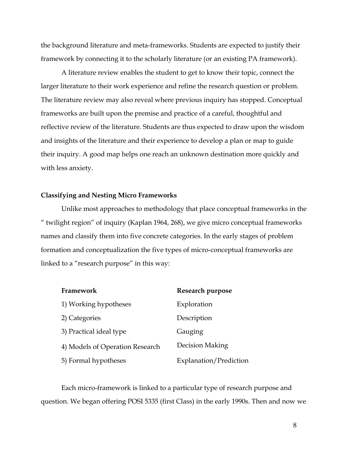the background literature and meta-frameworks. Students are expected to justify their framework by connecting it to the scholarly literature (or an existing PA framework).

 A literature review enables the student to get to know their topic, connect the larger literature to their work experience and refine the research question or problem. The literature review may also reveal where previous inquiry has stopped. Conceptual frameworks are built upon the premise and practice of a careful, thoughtful and reflective review of the literature. Students are thus expected to draw upon the wisdom and insights of the literature and their experience to develop a plan or map to guide their inquiry. A good map helps one reach an unknown destination more quickly and with less anxiety.

### **Classifying and Nesting Micro Frameworks**

 Unlike most approaches to methodology that place conceptual frameworks in the " twilight region" of inquiry (Kaplan 1964, 268), we give micro conceptual frameworks names and classify them into five concrete categories. In the early stages of problem formation and conceptualization the five types of micro-conceptual frameworks are linked to a "research purpose" in this way:

| Framework                       | Research purpose       |
|---------------------------------|------------------------|
| 1) Working hypotheses           | Exploration            |
| 2) Categories                   | Description            |
| 3) Practical ideal type         | Gauging                |
| 4) Models of Operation Research | Decision Making        |
| 5) Formal hypotheses            | Explanation/Prediction |

Each micro-framework is linked to a particular type of research purpose and question. We began offering POSI 5335 (first Class) in the early 1990s. Then and now we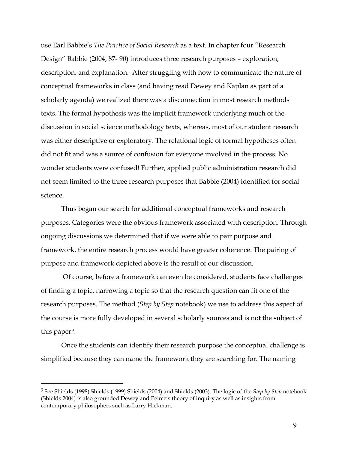use Earl Babbie's *The Practice of Social Research* as a text. In chapter four "Research Design" Babbie (2004, 87- 90) introduces three research purposes – exploration, description, and explanation. After struggling with how to communicate the nature of conceptual frameworks in class (and having read Dewey and Kaplan as part of a scholarly agenda) we realized there was a disconnection in most research methods texts. The formal hypothesis was the implicit framework underlying much of the discussion in social science methodology texts, whereas, most of our student research was either descriptive or exploratory. The relational logic of formal hypotheses often did not fit and was a source of confusion for everyone involved in the process. No wonder students were confused! Further, applied public administration research did not seem limited to the three research purposes that Babbie (2004) identified for social science.

Thus began our search for additional conceptual frameworks and research purposes. Categories were the obvious framework associated with description. Through ongoing discussions we determined that if we were able to pair purpose and framework, the entire research process would have greater coherence. The pairing of purpose and framework depicted above is the result of our discussion.

 Of course, before a framework can even be considered, students face challenges of finding a topic, narrowing a topic so that the research question can fit one of the research purposes. The method (*Step by Step* notebook) we use to address this aspect of the course is more fully developed in several scholarly sources and is not the subject of this paper<sup>[9](#page-8-0)</sup>.

Once the students can identify their research purpose the conceptual challenge is simplified because they can name the framework they are searching for. The naming

 $\overline{a}$ 

<span id="page-8-0"></span><sup>9</sup> See Shields (1998) Shields (1999) Shields (2004) and Shields (2003). The logic of the *Step by Step* notebook (Shields 2004) is also grounded Dewey and Peirce's theory of inquiry as well as insights from contemporary philosophers such as Larry Hickman.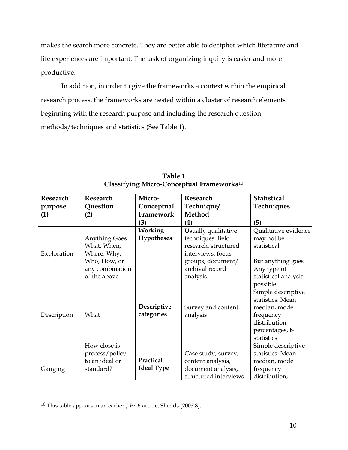makes the search more concrete. They are better able to decipher which literature and life experiences are important. The task of organizing inquiry is easier and more productive.

In addition, in order to give the frameworks a context within the empirical research process, the frameworks are nested within a cluster of research elements beginning with the research purpose and including the research question, methods/techniques and statistics (See Table 1).

| Research    | Research                                                                                              | Micro-                              | <b>Research</b>                                                                                                                           | <b>Statistical</b>                                                                                                        |  |
|-------------|-------------------------------------------------------------------------------------------------------|-------------------------------------|-------------------------------------------------------------------------------------------------------------------------------------------|---------------------------------------------------------------------------------------------------------------------------|--|
| purpose     | Question                                                                                              | Conceptual                          | Technique/                                                                                                                                | Techniques                                                                                                                |  |
| (1)         | (2)                                                                                                   | Framework                           | Method                                                                                                                                    |                                                                                                                           |  |
|             |                                                                                                       | (3)                                 | $\left( 4\right)$                                                                                                                         | (5)                                                                                                                       |  |
| Exploration | <b>Anything Goes</b><br>What, When,<br>Where, Why,<br>Who, How, or<br>any combination<br>of the above | <b>Working</b><br><b>Hypotheses</b> | Usually qualitative<br>techniques: field<br>research, structured<br>interviews, focus<br>groups, document/<br>archival record<br>analysis | Qualitative evidence<br>may not be<br>statistical<br>But anything goes<br>Any type of<br>statistical analysis<br>possible |  |
| Description | What                                                                                                  | Descriptive<br>categories           | Survey and content<br>analysis                                                                                                            | Simple descriptive<br>statistics: Mean<br>median, mode<br>frequency<br>distribution,<br>percentages, t-<br>statistics     |  |
| Gauging     | How close is<br>process/policy<br>to an ideal or<br>standard?                                         | Practical<br><b>Ideal Type</b>      | Case study, survey,<br>content analysis,<br>document analysis,<br>structured interviews                                                   | Simple descriptive<br>statistics: Mean<br>median, mode<br>frequency<br>distribution,                                      |  |

**Table 1 Classifying Micro-Conceptual Frameworks**[10](#page-9-0)

 $\overline{a}$ 

<span id="page-9-0"></span><sup>10</sup> This table appears in an earlier *J-PAE* article, Shields (2003,8).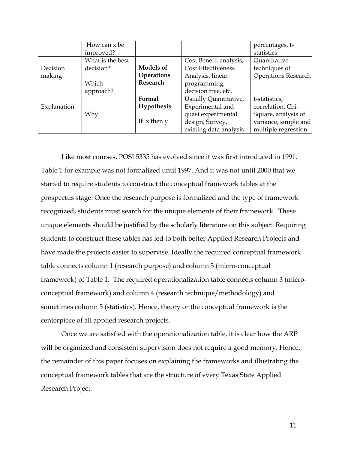|             | How can x be     |                   |                           | percentages, t-            |
|-------------|------------------|-------------------|---------------------------|----------------------------|
|             | improved?        |                   |                           | statistics                 |
|             | What is the best |                   | Cost Benefit analysis,    | Quantitative               |
| Decision    | decision?        | <b>Models of</b>  | <b>Cost Effectiveness</b> | techniques of              |
| making      |                  | Operations        | Analysis, linear          | <b>Operations Research</b> |
|             | Which            | Research          | programming,              |                            |
|             | approach?        |                   | decision tree, etc.       |                            |
|             |                  | Formal            | Usually Quantitative,     | t-statistics,              |
| Explanation |                  | <b>Hypothesis</b> | Experimental and          | correlation, Chi-          |
|             | Why              |                   | quasi experimental        | Square, analysis of        |
|             |                  | If $x$ then $y$   | design, Survey,           | variance, simple and       |
|             |                  |                   | existing data analysis    | multiple regression        |

 Like most courses, POSI 5335 has evolved since it was first introduced in 1991. Table 1 for example was not formalized until 1997. And it was not until 2000 that we started to require students to construct the conceptual framework tables at the prospectus stage. Once the research purpose is formalized and the type of framework recognized, students must search for the unique elements of their framework. These unique elements should be justified by the scholarly literature on this subject. Requiring students to construct these tables has led to both better Applied Research Projects and have made the projects easier to supervise. Ideally the required conceptual framework table connects column 1 (research purpose) and column 3 (micro-conceptual framework) of Table 1. The required operationalization table connects column 3 (microconceptual framework) and column 4 (research technique/methodology) and sometimes column 5 (statistics). Hence, theory or the conceptual framework is the centerpiece of all applied research projects.

 Once we are satisfied with the operationalization table, it is clear how the ARP will be organized and consistent supervision does not require a good memory. Hence, the remainder of this paper focuses on explaining the frameworks and illustrating the conceptual framework tables that are the structure of every Texas State Applied Research Project.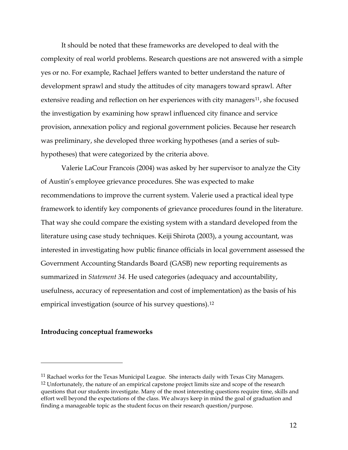It should be noted that these frameworks are developed to deal with the complexity of real world problems. Research questions are not answered with a simple yes or no. For example, Rachael Jeffers wanted to better understand the nature of development sprawl and study the attitudes of city managers toward sprawl. After extensive reading and reflection on her experiences with city managers<sup>[11](#page-11-0)</sup>, she focused the investigation by examining how sprawl influenced city finance and service provision, annexation policy and regional government policies. Because her research was preliminary, she developed three working hypotheses (and a series of subhypotheses) that were categorized by the criteria above.

 Valerie LaCour Francois (2004) was asked by her supervisor to analyze the City of Austin's employee grievance procedures. She was expected to make recommendations to improve the current system. Valerie used a practical ideal type framework to identify key components of grievance procedures found in the literature. That way she could compare the existing system with a standard developed from the literature using case study techniques. Keiji Shirota (2003), a young accountant, was interested in investigating how public finance officials in local government assessed the Government Accounting Standards Board (GASB) new reporting requirements as summarized in *Statement 34.* He used categories (adequacy and accountability, usefulness, accuracy of representation and cost of implementation) as the basis of his empirical investigation (source of his survey questions).<sup>[12](#page-11-1)</sup>

### **Introducing conceptual frameworks**

 $\overline{a}$ 

<span id="page-11-1"></span><span id="page-11-0"></span><sup>&</sup>lt;sup>11</sup> Rachael works for the Texas Municipal League. She interacts daily with Texas City Managers. <sup>12</sup> Unfortunately, the nature of an empirical capstone project limits size and scope of the research questions that our students investigate. Many of the most interesting questions require time, skills and effort well beyond the expectations of the class. We always keep in mind the goal of graduation and finding a manageable topic as the student focus on their research question/purpose.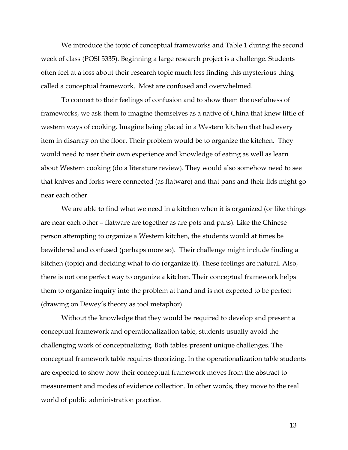We introduce the topic of conceptual frameworks and Table 1 during the second week of class (POSI 5335). Beginning a large research project is a challenge. Students often feel at a loss about their research topic much less finding this mysterious thing called a conceptual framework. Most are confused and overwhelmed.

 To connect to their feelings of confusion and to show them the usefulness of frameworks, we ask them to imagine themselves as a native of China that knew little of western ways of cooking. Imagine being placed in a Western kitchen that had every item in disarray on the floor. Their problem would be to organize the kitchen. They would need to user their own experience and knowledge of eating as well as learn about Western cooking (do a literature review). They would also somehow need to see that knives and forks were connected (as flatware) and that pans and their lids might go near each other.

 We are able to find what we need in a kitchen when it is organized (or like things are near each other – flatware are together as are pots and pans). Like the Chinese person attempting to organize a Western kitchen, the students would at times be bewildered and confused (perhaps more so). Their challenge might include finding a kitchen (topic) and deciding what to do (organize it). These feelings are natural. Also, there is not one perfect way to organize a kitchen. Their conceptual framework helps them to organize inquiry into the problem at hand and is not expected to be perfect (drawing on Dewey's theory as tool metaphor).

 Without the knowledge that they would be required to develop and present a conceptual framework and operationalization table, students usually avoid the challenging work of conceptualizing. Both tables present unique challenges. The conceptual framework table requires theorizing. In the operationalization table students are expected to show how their conceptual framework moves from the abstract to measurement and modes of evidence collection. In other words, they move to the real world of public administration practice.

13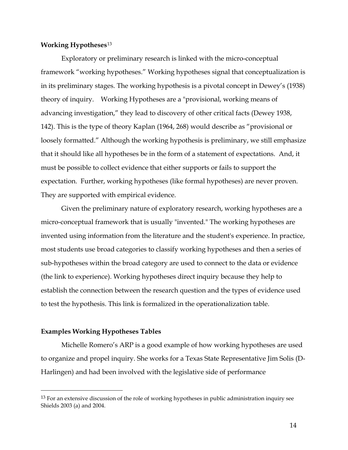### **Working Hypotheses**[13](#page-13-0)

 Exploratory or preliminary research is linked with the micro-conceptual framework "working hypotheses." Working hypotheses signal that conceptualization is in its preliminary stages. The working hypothesis is a pivotal concept in Dewey's (1938) theory of inquiry. Working Hypotheses are a "provisional, working means of advancing investigation," they lead to discovery of other critical facts (Dewey 1938, 142). This is the type of theory Kaplan (1964, 268) would describe as "provisional or loosely formatted." Although the working hypothesis is preliminary, we still emphasize that it should like all hypotheses be in the form of a statement of expectations. And, it must be possible to collect evidence that either supports or fails to support the expectation. Further, working hypotheses (like formal hypotheses) are never proven. They are supported with empirical evidence.

 Given the preliminary nature of exploratory research, working hypotheses are a micro-conceptual framework that is usually "invented." The working hypotheses are invented using information from the literature and the student's experience. In practice, most students use broad categories to classify working hypotheses and then a series of sub-hypotheses within the broad category are used to connect to the data or evidence (the link to experience). Working hypotheses direct inquiry because they help to establish the connection between the research question and the types of evidence used to test the hypothesis. This link is formalized in the operationalization table.

### **Examples Working Hypotheses Tables**

 $\overline{a}$ 

Michelle Romero's ARP is a good example of how working hypotheses are used to organize and propel inquiry. She works for a Texas State Representative Jim Solis (D-Harlingen) and had been involved with the legislative side of performance

<span id="page-13-0"></span><sup>&</sup>lt;sup>13</sup> For an extensive discussion of the role of working hypotheses in public administration inquiry see Shields 2003 (a) and 2004.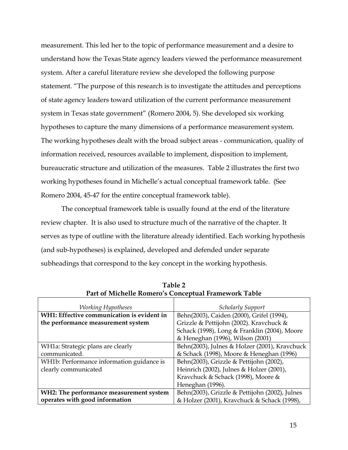measurement. This led her to the topic of performance measurement and a desire to understand how the Texas State agency leaders viewed the performance measurement system. After a careful literature review she developed the following purpose statement. "The purpose of this research is to investigate the attitudes and perceptions of state agency leaders toward utilization of the current performance measurement system in Texas state government" (Romero 2004, 5). She developed six working hypotheses to capture the many dimensions of a performance measurement system. The working hypotheses dealt with the broad subject areas - communication, quality of information received, resources available to implement, disposition to implement, bureaucratic structure and utilization of the measures. Table 2 illustrates the first two working hypotheses found in Michelle's actual conceptual framework table. (See Romero 2004, 45-47 for the entire conceptual framework table).

 The conceptual framework table is usually found at the end of the literature review chapter. It is also used to structure much of the narrative of the chapter. It serves as type of outline with the literature already identified. Each working hypothesis (and sub-hypotheses) is explained, developed and defended under separate subheadings that correspond to the key concept in the working hypothesis.

| <b>Working Hypotheses</b>                  | <b>Scholarly Support</b>                       |
|--------------------------------------------|------------------------------------------------|
| WH1: Effective communication is evident in | Behn(2003), Caiden (2000), Grifel (1994),      |
| the performance measurement system         | Grizzle & Pettijohn (2002). Kravchuck &        |
|                                            | Schack (1998), Long & Franklin (2004), Moore   |
|                                            | & Heneghan (1996), Wilson (2001)               |
| WH1a: Strategic plans are clearly          | Behn(2003), Julnes & Holzer (2001), Kravchuck  |
| communicated.                              | & Schack (1998), Moore & Heneghan (1996)       |
| WH1b: Performance information guidance is  | Behn(2003), Grizzle & Pettijohn (2002),        |
| clearly communicated                       | Heinrich (2002), Julnes & Holzer (2001),       |
|                                            | Kravchuck & Schack (1998), Moore &             |
|                                            | Heneghan (1996).                               |
| WH2: The performance measurement system    | Behn(2003), Grizzle & Pettijohn (2002), Julnes |
| operates with good information             | & Holzer (2001), Kravchuck & Schack (1998),    |

**Table 2 Part of Michelle Romero's Conceptual Framework Table**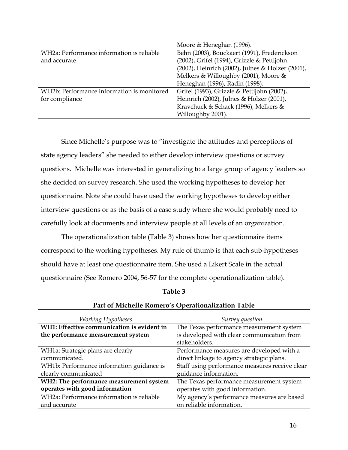|                                            | Moore & Heneghan (1996).                         |
|--------------------------------------------|--------------------------------------------------|
| WH2a: Performance information is reliable  | Behn (2003), Bouckaert (1991), Frederickson      |
| and accurate                               | (2002), Grifel (1994), Grizzle & Pettijohn       |
|                                            | (2002), Heinrich (2002), Julnes & Holzer (2001), |
|                                            | Melkers & Willoughby (2001), Moore &             |
|                                            | Heneghan (1996), Radin (1998).                   |
| WH2b: Performance information is monitored | Grifel (1993), Grizzle & Pettijohn (2002),       |
| for compliance                             | Heinrich (2002), Julnes & Holzer (2001),         |
|                                            | Kravchuck & Schack (1996), Melkers &             |
|                                            | Willoughby 2001).                                |

Since Michelle's purpose was to "investigate the attitudes and perceptions of state agency leaders" she needed to either develop interview questions or survey questions. Michelle was interested in generalizing to a large group of agency leaders so she decided on survey research. She used the working hypotheses to develop her questionnaire. Note she could have used the working hypotheses to develop either interview questions or as the basis of a case study where she would probably need to carefully look at documents and interview people at all levels of an organization.

The operationalization table (Table 3) shows how her questionnaire items correspond to the working hypotheses. My rule of thumb is that each sub-hypotheses should have at least one questionnaire item. She used a Likert Scale in the actual questionnaire (See Romero 2004, 56-57 for the complete operationalization table).

| able |  |
|------|--|
|------|--|

| <b>Working Hypotheses</b>                  | Survey question                                |
|--------------------------------------------|------------------------------------------------|
| WH1: Effective communication is evident in | The Texas performance measurement system       |
| the performance measurement system         | is developed with clear communication from     |
|                                            | stakeholders.                                  |
| WH1a: Strategic plans are clearly          | Performance measures are developed with a      |
| communicated.                              | direct linkage to agency strategic plans.      |
| WH1b: Performance information guidance is  | Staff using performance measures receive clear |
| clearly communicated                       | guidance information.                          |
| WH2: The performance measurement system    | The Texas performance measurement system       |
| operates with good information             | operates with good information.                |
| WH2a: Performance information is reliable  | My agency's performance measures are based     |
| and accurate                               | on reliable information.                       |

# **Part of Michelle Romero's Operationalization Table**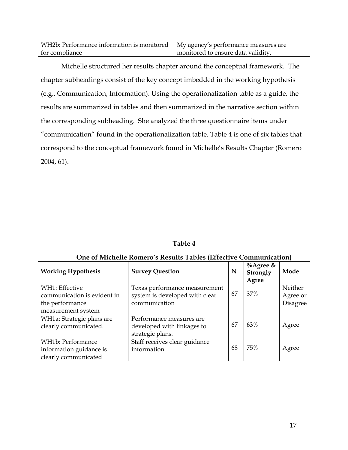| WH2b: Performance information is monitored   My agency's performance measures are |                                    |
|-----------------------------------------------------------------------------------|------------------------------------|
| for compliance                                                                    | monitored to ensure data validity. |

Michelle structured her results chapter around the conceptual framework. The chapter subheadings consist of the key concept imbedded in the working hypothesis (e.g., Communication, Information). Using the operationalization table as a guide, the results are summarized in tables and then summarized in the narrative section within the corresponding subheading. She analyzed the three questionnaire items under "communication" found in the operationalization table. Table 4 is one of six tables that correspond to the conceptual framework found in Michelle's Results Chapter (Romero 2004, 61).

| Table 4 |  |
|---------|--|
|         |  |

| <b>Working Hypothesis</b>   | <b>Survey Question</b>         | N  | $\%$ Agree &<br>Strongly<br>Agree | Mode     |
|-----------------------------|--------------------------------|----|-----------------------------------|----------|
| WH1: Effective              | Texas performance measurement  |    |                                   | Neither  |
| communication is evident in | system is developed with clear | 67 | 37%                               | Agree or |
| the performance             | communication                  |    |                                   | Disagree |
| measurement system          |                                |    |                                   |          |
| WH1a: Strategic plans are   | Performance measures are       |    |                                   |          |
| clearly communicated.       | developed with linkages to     | 67 | 63%                               | Agree    |
|                             | strategic plans.               |    |                                   |          |
| WH1b: Performance           | Staff receives clear guidance  |    |                                   |          |
| information guidance is     | information                    | 68 | 75%                               | Agree    |
| clearly communicated        |                                |    |                                   |          |

### **One of Michelle Romero's Results Tables (Effective Communication)**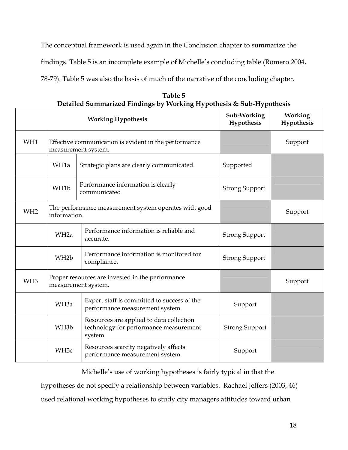The conceptual framework is used again in the Conclusion chapter to summarize the findings. Table 5 is an incomplete example of Michelle's concluding table (Romero 2004, 78-79). Table 5 was also the basis of much of the narrative of the concluding chapter.

| Detailed Summarized Findings by Working Hypothesis & Sub-Hypothesis                        |                           |                                                                                               |                       |                       |
|--------------------------------------------------------------------------------------------|---------------------------|-----------------------------------------------------------------------------------------------|-----------------------|-----------------------|
|                                                                                            | <b>Working Hypothesis</b> |                                                                                               |                       | Working<br>Hypothesis |
| WH1                                                                                        |                           | Effective communication is evident in the performance<br>measurement system.                  |                       | Support               |
|                                                                                            | WH1a                      | Strategic plans are clearly communicated.                                                     | Supported             |                       |
|                                                                                            | WH1b                      | Performance information is clearly<br>communicated                                            | <b>Strong Support</b> |                       |
| The performance measurement system operates with good<br>WH <sub>2</sub><br>information.   |                           |                                                                                               | Support               |                       |
|                                                                                            | WH <sub>2a</sub>          | Performance information is reliable and<br>accurate.                                          | <b>Strong Support</b> |                       |
|                                                                                            | WH <sub>2</sub> b         | Performance information is monitored for<br>compliance.                                       | <b>Strong Support</b> |                       |
| Proper resources are invested in the performance<br>WH <sub>3</sub><br>measurement system. |                           |                                                                                               | Support               |                       |
|                                                                                            | WH <sub>3a</sub>          | Expert staff is committed to success of the<br>performance measurement system.                | Support               |                       |
|                                                                                            | WH <sub>3</sub> b         | Resources are applied to data collection<br>technology for performance measurement<br>system. | <b>Strong Support</b> |                       |
|                                                                                            | WH <sub>3c</sub>          | Resources scarcity negatively affects<br>performance measurement system.                      | Support               |                       |

**Table 5 Detailed Summarized Findings by Working Hypothesis & Sub-Hypothesis**

Michelle's use of working hypotheses is fairly typical in that the

hypotheses do not specify a relationship between variables. Rachael Jeffers (2003, 46)

used relational working hypotheses to study city managers attitudes toward urban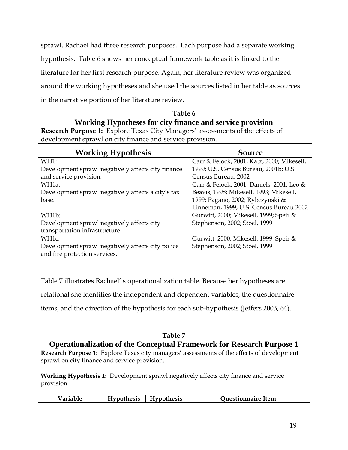sprawl. Rachael had three research purposes. Each purpose had a separate working hypothesis. Table 6 shows her conceptual framework table as it is linked to the literature for her first research purpose. Again, her literature review was organized around the working hypotheses and she used the sources listed in her table as sources in the narrative portion of her literature review.

## **Table 6 Working Hypotheses for city finance and service provision**

**Research Purpose 1:** Explore Texas City Managers' assessments of the effects of development sprawl on city finance and service provision.

| <b>Working Hypothesis</b>                          | Source                                     |
|----------------------------------------------------|--------------------------------------------|
| WH1:                                               | Carr & Feiock, 2001; Katz, 2000; Mikesell, |
| Development sprawl negatively affects city finance | 1999; U.S. Census Bureau, 2001b; U.S.      |
| and service provision.                             | Census Bureau, 2002                        |
| WH1a:                                              | Carr & Feiock, 2001; Daniels, 2001; Leo &  |
| Development sprawl negatively affects a city's tax | Beavis, 1998; Mikesell, 1993; Mikesell,    |
| base.                                              | 1999; Pagano, 2002; Rybczynski &           |
|                                                    | Linneman, 1999; U.S. Census Bureau 2002    |
| WH1b:                                              | Gurwitt, 2000; Mikesell, 1999; Speir &     |
| Development sprawl negatively affects city         | Stephenson, 2002; Stoel, 1999              |
| transportation infrastructure.                     |                                            |
| WH <sub>1</sub> c:                                 | Gurwitt, 2000; Mikesell, 1999; Speir &     |
| Development sprawl negatively affects city police  | Stephenson, 2002; Stoel, 1999              |
| and fire protection services.                      |                                            |

Table 7 illustrates Rachael' s operationalization table. Because her hypotheses are

relational she identifies the independent and dependent variables, the questionnaire

items, and the direction of the hypothesis for each sub-hypothesis (Jeffers 2003, 64).

### **Table 7 Operationalization of the Conceptual Framework for Research Purpose 1**

| <b>Research Purpose 1:</b> Explore Texas city managers' assessments of the effects of development |  |  |  |  |
|---------------------------------------------------------------------------------------------------|--|--|--|--|
| sprawl on city finance and service provision.                                                     |  |  |  |  |
|                                                                                                   |  |  |  |  |
| <b>Working Hypothesis 1:</b> Development sprawl negatively affects city finance and service       |  |  |  |  |
| provision.                                                                                        |  |  |  |  |

| Variable<br><b>Hypothesis</b><br><b>Ouestionnaire Item</b><br><b>Hypothesis</b> |
|---------------------------------------------------------------------------------|
|---------------------------------------------------------------------------------|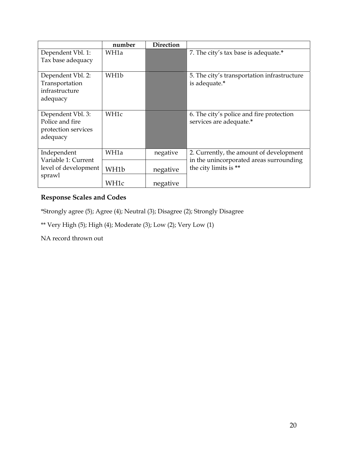|                                                                         | number   | <b>Direction</b>                                                 |                                                                     |
|-------------------------------------------------------------------------|----------|------------------------------------------------------------------|---------------------------------------------------------------------|
| Dependent Vbl. 1:<br>Tax base adequacy                                  | WH1a     |                                                                  | 7. The city's tax base is adequate.*                                |
| Dependent Vbl. 2:<br>Transportation<br>infrastructure<br>adequacy       | WH1b     |                                                                  | 5. The city's transportation infrastructure<br>is adequate.*        |
| Dependent Vbl. 3:<br>Police and fire<br>protection services<br>adequacy | WH1c     |                                                                  | 6. The city's police and fire protection<br>services are adequate.* |
| Independent<br>Variable 1: Current                                      | WH1a     | negative                                                         | 2. Currently, the amount of development                             |
| level of development<br>WH1b<br>sprawl                                  | negative | in the unincorporated areas surrounding<br>the city limits is ** |                                                                     |
|                                                                         | WH1c     | negative                                                         |                                                                     |

### **Response Scales and Codes**

\*Strongly agree (5); Agree (4); Neutral (3); Disagree (2); Strongly Disagree

\*\* Very High (5); High (4); Moderate (3); Low (2); Very Low (1)

NA record thrown out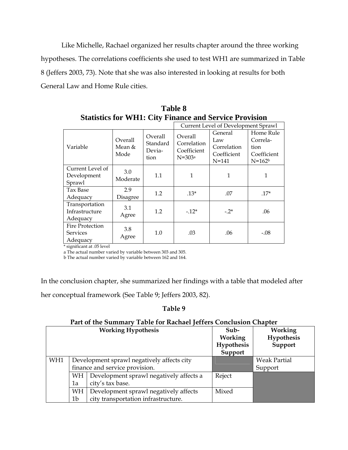Like Michelle, Rachael organized her results chapter around the three working hypotheses. The correlations coefficients she used to test WH1 are summarized in Table 8 (Jeffers 2003, 73). Note that she was also interested in looking at results for both General Law and Home Rule cities.

|                                                |                           |                                       |                                                   | Current Level of Development Sprawl                       |                                                            |
|------------------------------------------------|---------------------------|---------------------------------------|---------------------------------------------------|-----------------------------------------------------------|------------------------------------------------------------|
| Variable                                       | Overall<br>Mean &<br>Mode | Overall<br>Standard<br>Devia-<br>tion | Overall<br>Correlation<br>Coefficient<br>$N=303a$ | General<br>Law<br>Correlation<br>Coefficient<br>$N = 141$ | Home Rule<br>Correla-<br>tion<br>Coefficient<br>$N = 162b$ |
| Current Level of<br>Development<br>Sprawl      | 3.0<br>Moderate           | 1.1                                   | 1                                                 | 1                                                         | 1                                                          |
| Tax Base<br>Adequacy                           | 2.9<br>Disagree           | 1.2                                   | $.13*$                                            | .07                                                       | $.17*$                                                     |
| Transportation<br>Infrastructure<br>Adequacy   | 3.1<br>Agree              | 1.2                                   | $-.12*$                                           | $-2^{*}$                                                  | .06                                                        |
| <b>Fire Protection</b><br>Services<br>Adequacy | 3.8<br>Agree              | 1.0                                   | .03                                               | .06                                                       | $-.08$                                                     |

**Table 8 Statistics for WH1: City Finance and Service Provision** 

\* significant at .05 level

a The actual number varied by variable between 303 and 305.

b The actual number varied by variable between 162 and 164.

In the conclusion chapter, she summarized her findings with a table that modeled after

her conceptual framework (See Table 9; Jeffers 2003, 82).

### **Table 9**

### **Part of the Summary Table for Rachael Jeffers Conclusion Chapter**

|     |                                               | <b>Working Hypothesis</b>             | $Sub-$<br>Working<br>Hypothesis<br>Support | <b>Working</b><br>Hypothesis<br>Support |
|-----|-----------------------------------------------|---------------------------------------|--------------------------------------------|-----------------------------------------|
| WH1 | Development sprawl negatively affects city    |                                       |                                            | <b>Weak Partial</b>                     |
|     | finance and service provision.                |                                       |                                            | Support                                 |
|     | Development sprawl negatively affects a<br>WH |                                       | Reject                                     |                                         |
|     | city's tax base.<br>1a                        |                                       |                                            |                                         |
|     | WH                                            | Development sprawl negatively affects | Mixed                                      |                                         |
|     | 1b                                            | city transportation infrastructure.   |                                            |                                         |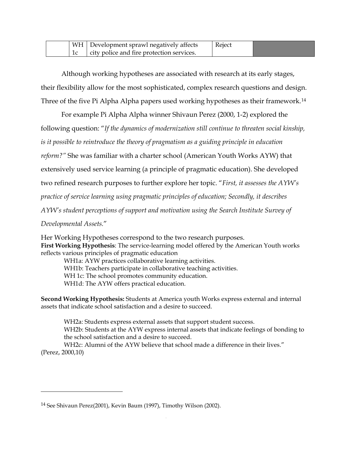|    | $\mid$ WH $\mid$ Development sprawl negatively affects | Reject |  |
|----|--------------------------------------------------------|--------|--|
| ТC | city police and fire protection services.              |        |  |

 Although working hypotheses are associated with research at its early stages, their flexibility allow for the most sophisticated, complex research questions and design. Three of the five Pi Alpha Alpha papers used working hypotheses as their framework.[14](#page-21-0)

 For example Pi Alpha Alpha winner Shivaun Perez (2000, 1-2) explored the following question: "*If the dynamics of modernization still continue to threaten social kinship, is it possible to reintroduce the theory of pragmatism as a guiding principle in education reform?"* She was familiar with a charter school (American Youth Works AYW) that extensively used service learning (a principle of pragmatic education). She developed two refined research purposes to further explore her topic. "*First, it assesses the AYW's practice of service learning using pragmatic principles of education; Secondly, it describes AYW's student perceptions of support and motivation using the Search Institute Survey of* 

*Developmental Assets.*"

 $\overline{a}$ 

Her Working Hypotheses correspond to the two research purposes. **First Working Hypothesis**: The service-learning model offered by the American Youth works reflects various principles of pragmatic education

WH1a: AYW practices collaborative learning activities. WH1b: Teachers participate in collaborative teaching activities. WH 1c: The school promotes community education. WH1d: The AYW offers practical education.

**Second Working Hypothesis:** Students at America youth Works express external and internal assets that indicate school satisfaction and a desire to succeed.

WH2a: Students express external assets that support student success. WH2b: Students at the AYW express internal assets that indicate feelings of bonding to the school satisfaction and a desire to succeed.

WH2c: Alumni of the AYW believe that school made a difference in their lives." (Perez, 2000,10)

<span id="page-21-0"></span><sup>14</sup> See Shivaun Perez(2001), Kevin Baum (1997), Timothy Wilson (2002).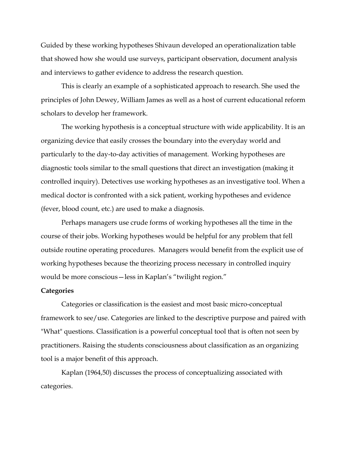Guided by these working hypotheses Shivaun developed an operationalization table that showed how she would use surveys, participant observation, document analysis and interviews to gather evidence to address the research question.

 This is clearly an example of a sophisticated approach to research. She used the principles of John Dewey, William James as well as a host of current educational reform scholars to develop her framework.

The working hypothesis is a conceptual structure with wide applicability. It is an organizing device that easily crosses the boundary into the everyday world and particularly to the day-to-day activities of management. Working hypotheses are diagnostic tools similar to the small questions that direct an investigation (making it controlled inquiry). Detectives use working hypotheses as an investigative tool. When a medical doctor is confronted with a sick patient, working hypotheses and evidence (fever, blood count, etc.) are used to make a diagnosis.

Perhaps managers use crude forms of working hypotheses all the time in the course of their jobs. Working hypotheses would be helpful for any problem that fell outside routine operating procedures. Managers would benefit from the explicit use of working hypotheses because the theorizing process necessary in controlled inquiry would be more conscious—less in Kaplan's "twilight region."

#### **Categories**

Categories or classification is the easiest and most basic micro-conceptual framework to see/use. Categories are linked to the descriptive purpose and paired with "What" questions. Classification is a powerful conceptual tool that is often not seen by practitioners. Raising the students consciousness about classification as an organizing tool is a major benefit of this approach.

 Kaplan (1964,50) discusses the process of conceptualizing associated with categories.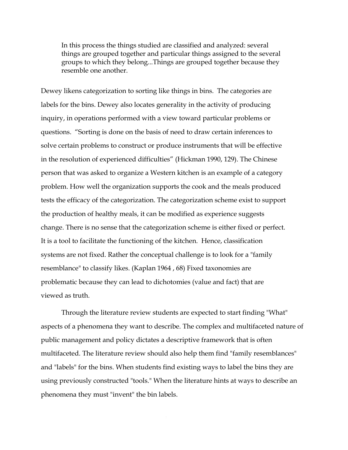In this process the things studied are classified and analyzed: several things are grouped together and particular things assigned to the several groups to which they belong...Things are grouped together because they resemble one another.

Dewey likens categorization to sorting like things in bins. The categories are labels for the bins. Dewey also locates generality in the activity of producing inquiry, in operations performed with a view toward particular problems or questions. "Sorting is done on the basis of need to draw certain inferences to solve certain problems to construct or produce instruments that will be effective in the resolution of experienced difficulties" (Hickman 1990, 129). The Chinese person that was asked to organize a Western kitchen is an example of a category problem. How well the organization supports the cook and the meals produced tests the efficacy of the categorization. The categorization scheme exist to support the production of healthy meals, it can be modified as experience suggests change. There is no sense that the categorization scheme is either fixed or perfect. It is a tool to facilitate the functioning of the kitchen. Hence, classification systems are not fixed. Rather the conceptual challenge is to look for a "family resemblance" to classify likes. (Kaplan 1964 , 68) Fixed taxonomies are problematic because they can lead to dichotomies (value and fact) that are viewed as truth.

 Through the literature review students are expected to start finding "What" aspects of a phenomena they want to describe. The complex and multifaceted nature of public management and policy dictates a descriptive framework that is often multifaceted. The literature review should also help them find "family resemblances" and "labels" for the bins. When students find existing ways to label the bins they are using previously constructed "tools." When the literature hints at ways to describe an phenomena they must "invent" the bin labels.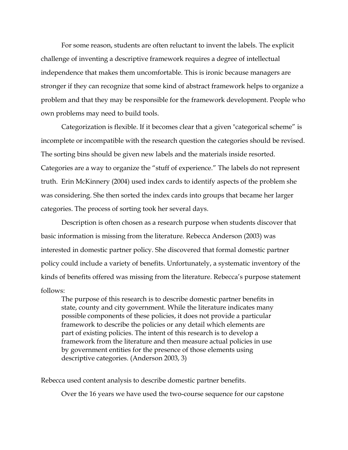For some reason, students are often reluctant to invent the labels. The explicit challenge of inventing a descriptive framework requires a degree of intellectual independence that makes them uncomfortable. This is ironic because managers are stronger if they can recognize that some kind of abstract framework helps to organize a problem and that they may be responsible for the framework development. People who own problems may need to build tools.

 Categorization is flexible. If it becomes clear that a given "categorical scheme" is incomplete or incompatible with the research question the categories should be revised. The sorting bins should be given new labels and the materials inside resorted. Categories are a way to organize the "stuff of experience." The labels do not represent truth. Erin McKinnery (2004) used index cards to identify aspects of the problem she was considering. She then sorted the index cards into groups that became her larger categories. The process of sorting took her several days.

 Description is often chosen as a research purpose when students discover that basic information is missing from the literature. Rebecca Anderson (2003) was interested in domestic partner policy. She discovered that formal domestic partner policy could include a variety of benefits. Unfortunately, a systematic inventory of the kinds of benefits offered was missing from the literature. Rebecca's purpose statement follows:

The purpose of this research is to describe domestic partner benefits in state, county and city government. While the literature indicates many possible components of these policies, it does not provide a particular framework to describe the policies or any detail which elements are part of existing policies. The intent of this research is to develop a framework from the literature and then measure actual policies in use by government entities for the presence of those elements using descriptive categories. (Anderson 2003, 3)

Rebecca used content analysis to describe domestic partner benefits.

Over the 16 years we have used the two-course sequence for our capstone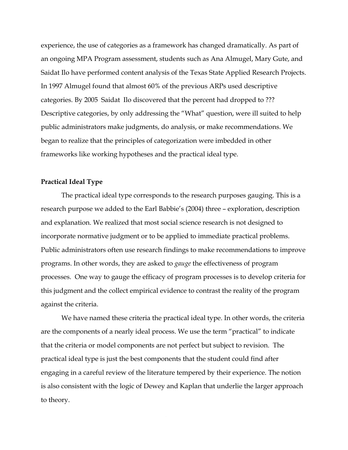experience, the use of categories as a framework has changed dramatically. As part of an ongoing MPA Program assessment, students such as Ana Almugel, Mary Gute, and Saidat Ilo have performed content analysis of the Texas State Applied Research Projects. In 1997 Almugel found that almost 60% of the previous ARPs used descriptive categories. By 2005 Saidat Ilo discovered that the percent had dropped to ??? Descriptive categories, by only addressing the "What" question, were ill suited to help public administrators make judgments, do analysis, or make recommendations. We began to realize that the principles of categorization were imbedded in other frameworks like working hypotheses and the practical ideal type.

### **Practical Ideal Type**

 The practical ideal type corresponds to the research purposes gauging. This is a research purpose we added to the Earl Babbie's (2004) three – exploration, description and explanation. We realized that most social science research is not designed to incorporate normative judgment or to be applied to immediate practical problems. Public administrators often use research findings to make recommendations to improve programs. In other words, they are asked to *gauge* the effectiveness of program processes. One way to gauge the efficacy of program processes is to develop criteria for this judgment and the collect empirical evidence to contrast the reality of the program against the criteria.

 We have named these criteria the practical ideal type. In other words, the criteria are the components of a nearly ideal process. We use the term "practical" to indicate that the criteria or model components are not perfect but subject to revision. The practical ideal type is just the best components that the student could find after engaging in a careful review of the literature tempered by their experience. The notion is also consistent with the logic of Dewey and Kaplan that underlie the larger approach to theory.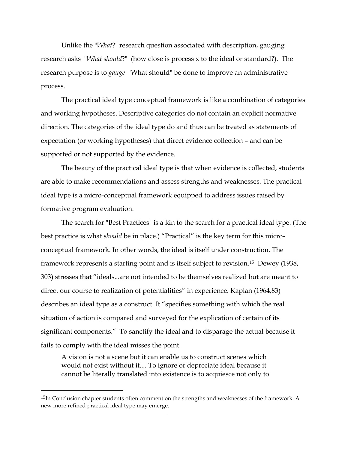Unlike the "*What*?" research question associated with description, gauging research asks "*What should*?" (how close is process x to the ideal or standard?). The research purpose is to *gauge* "What should" be done to improve an administrative process.

 The practical ideal type conceptual framework is like a combination of categories and working hypotheses. Descriptive categories do not contain an explicit normative direction. The categories of the ideal type do and thus can be treated as statements of expectation (or working hypotheses) that direct evidence collection – and can be supported or not supported by the evidence.

 The beauty of the practical ideal type is that when evidence is collected, students are able to make recommendations and assess strengths and weaknesses. The practical ideal type is a micro-conceptual framework equipped to address issues raised by formative program evaluation.

 The search for "Best Practices" is a kin to the search for a practical ideal type. (The best practice is what *should* be in place.) "Practical" is the key term for this microconceptual framework. In other words, the ideal is itself under construction. The framework represents a starting point and is itself subject to revision.[15](#page-26-0) Dewey (1938, 303) stresses that "ideals...are not intended to be themselves realized but are meant to direct our course to realization of potentialities" in experience. Kaplan (1964,83) describes an ideal type as a construct. It "specifies something with which the real situation of action is compared and surveyed for the explication of certain of its significant components." To sanctify the ideal and to disparage the actual because it fails to comply with the ideal misses the point.

A vision is not a scene but it can enable us to construct scenes which would not exist without it.... To ignore or depreciate ideal because it cannot be literally translated into existence is to acquiesce not only to

 $\overline{a}$ 

<span id="page-26-0"></span><sup>&</sup>lt;sup>15</sup>In Conclusion chapter students often comment on the strengths and weaknesses of the framework. A new more refined practical ideal type may emerge.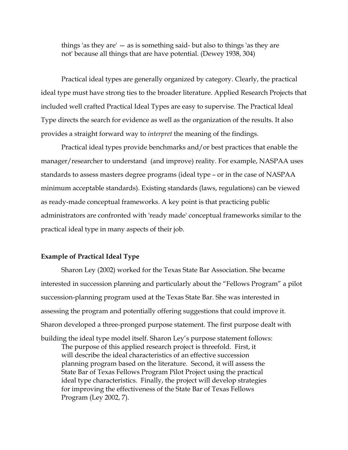things 'as they  $\text{are}^1$  — as is something said- but also to things 'as they are not' because all things that are have potential. (Dewey 1938, 304)

 Practical ideal types are generally organized by category. Clearly, the practical ideal type must have strong ties to the broader literature. Applied Research Projects that included well crafted Practical Ideal Types are easy to supervise. The Practical Ideal Type directs the search for evidence as well as the organization of the results. It also provides a straight forward way to *interpret* the meaning of the findings.

 Practical ideal types provide benchmarks and/or best practices that enable the manager/researcher to understand (and improve) reality. For example, NASPAA uses standards to assess masters degree programs (ideal type – or in the case of NASPAA minimum acceptable standards). Existing standards (laws, regulations) can be viewed as ready-made conceptual frameworks. A key point is that practicing public administrators are confronted with 'ready made' conceptual frameworks similar to the practical ideal type in many aspects of their job.

### **Example of Practical Ideal Type**

 Sharon Ley (2002) worked for the Texas State Bar Association. She became interested in succession planning and particularly about the "Fellows Program" a pilot succession-planning program used at the Texas State Bar. She was interested in assessing the program and potentially offering suggestions that could improve it. Sharon developed a three-pronged purpose statement. The first purpose dealt with

building the ideal type model itself. Sharon Ley's purpose statement follows: The purpose of this applied research project is threefold. First, it will describe the ideal characteristics of an effective succession planning program based on the literature. Second, it will assess the State Bar of Texas Fellows Program Pilot Project using the practical ideal type characteristics. Finally, the project will develop strategies for improving the effectiveness of the State Bar of Texas Fellows Program (Ley 2002, 7).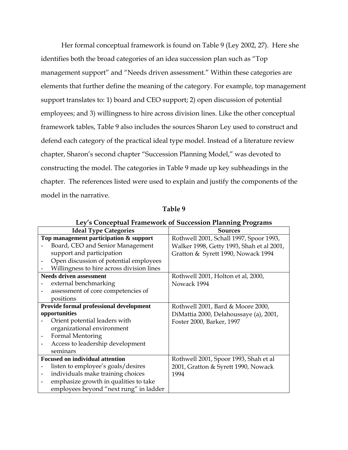Her formal conceptual framework is found on Table 9 (Ley 2002, 27). Here she identifies both the broad categories of an idea succession plan such as "Top management support" and "Needs driven assessment." Within these categories are elements that further define the meaning of the category. For example, top management support translates to: 1) board and CEO support; 2) open discussion of potential employees; and 3) willingness to hire across division lines. Like the other conceptual framework tables, Table 9 also includes the sources Sharon Ley used to construct and defend each category of the practical ideal type model. Instead of a literature review chapter, Sharon's second chapter "Succession Planning Model," was devoted to constructing the model. The categories in Table 9 made up key subheadings in the chapter. The references listed were used to explain and justify the components of the model in the narrative.

| Ley's Conceptual Framework of Succession Planning Programs |                                           |  |  |  |
|------------------------------------------------------------|-------------------------------------------|--|--|--|
| <b>Ideal Type Categories</b>                               | <b>Sources</b>                            |  |  |  |
| Top management participation & support                     | Rothwell 2001, Schall 1997, Spoor 1993,   |  |  |  |
| Board, CEO and Senior Management                           | Walker 1998, Getty 1993, Shah et al 2001, |  |  |  |
| support and participation                                  | Gratton & Syrett 1990, Nowack 1994        |  |  |  |
| Open discussion of potential employees                     |                                           |  |  |  |
| Willingness to hire across division lines                  |                                           |  |  |  |
| <b>Needs driven assessment</b>                             | Rothwell 2001, Holton et al, 2000,        |  |  |  |
| external benchmarking                                      | Nowack 1994                               |  |  |  |
| assessment of core competencies of                         |                                           |  |  |  |
| positions                                                  |                                           |  |  |  |
| Provide formal professional development                    | Rothwell 2001, Bard & Moore 2000,         |  |  |  |
| opportunities                                              | DiMattia 2000, Delahoussaye (a), 2001,    |  |  |  |
| Orient potential leaders with                              | Foster 2000, Barker, 1997                 |  |  |  |
| organizational environment                                 |                                           |  |  |  |
| Formal Mentoring                                           |                                           |  |  |  |
| Access to leadership development                           |                                           |  |  |  |
| seminars                                                   |                                           |  |  |  |
| <b>Focused on individual attention</b>                     | Rothwell 2001, Spoor 1993, Shah et al     |  |  |  |
| listen to employee's goals/desires                         | 2001, Gratton & Syrett 1990, Nowack       |  |  |  |
| individuals make training choices                          | 1994                                      |  |  |  |
| emphasize growth in qualities to take                      |                                           |  |  |  |
| employees beyond "next rung" in ladder                     |                                           |  |  |  |

**Table 9**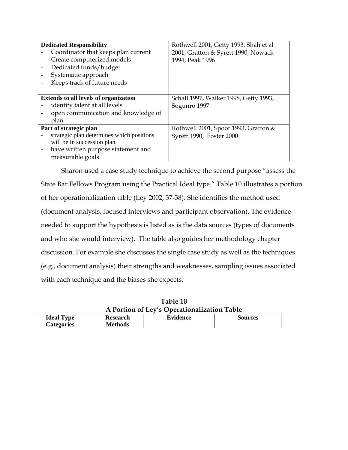| <b>Dedicated Responsibility</b>              | Rothwell 2001, Getty 1993, Shah et al  |
|----------------------------------------------|----------------------------------------|
| Coordinator that keeps plan current          | 2001, Gratton & Syrett 1990, Nowack    |
| Create computerized models                   | 1994, Peak 1996                        |
| Dedicated funds/budget                       |                                        |
| Systematic approach                          |                                        |
| Keeps track of future needs                  |                                        |
|                                              |                                        |
| <b>Extends to all levels of organization</b> | Schall 1997, Walker 1998, Getty 1993,  |
| identify talent at all levels                | Sogunro 1997                           |
| open communication and knowledge of          |                                        |
| plan                                         |                                        |
| Part of strategic plan                       | Rothwell 2001, Spoor 1993, Gratton $&$ |
| strategic plan determines which positions    | Syrett 1990, Foster 2000               |
| will be in succession plan                   |                                        |
| have written purpose statement and           |                                        |
| measurable goals                             |                                        |

 Sharon used a case study technique to achieve the second purpose "assess the State Bar Fellows Program using the Practical Ideal type." Table 10 illustrates a portion of her operationalization table (Ley 2002, 37-38). She identifies the method used (document analysis, focused interviews and participant observation). The evidence needed to support the hypothesis is listed as is the data sources (types of documents and who she would interview). The table also guides her methodology chapter discussion. For example she discusses the single case study as well as the techniques (e.g., document analysis) their strengths and weaknesses, sampling issues associated with each technique and the biases she expects.

| A Portion of Ley's Operationalization Table |                 |          |                |  |
|---------------------------------------------|-----------------|----------|----------------|--|
| <b>Ideal Type</b>                           | <b>Research</b> | Evidence | <b>Sources</b> |  |
| Categories                                  | Methods         |          |                |  |

**Table 10 A Portion of Ley's Operationalization Table**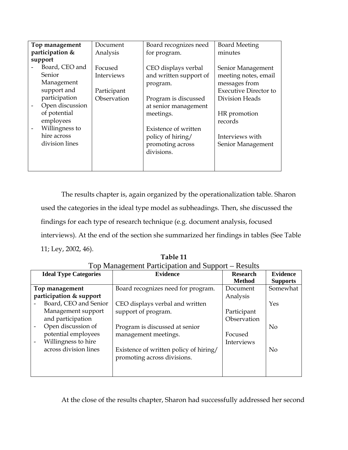| Top management  |                 | Document    | Board recognizes need  | <b>Board Meeting</b>         |
|-----------------|-----------------|-------------|------------------------|------------------------------|
| participation & |                 | Analysis    | for program.           | minutes                      |
|                 | support         |             |                        |                              |
|                 | Board, CEO and  | Focused     | CEO displays verbal    | Senior Management            |
|                 | Senior          | Interviews  | and written support of | meeting notes, email         |
|                 | Management      |             | program.               | messages from                |
|                 | support and     | Participant |                        | <b>Executive Director to</b> |
|                 | participation   | Observation | Program is discussed   | Division Heads               |
|                 | Open discussion |             | at senior management   |                              |
|                 | of potential    |             | meetings.              | HR promotion                 |
|                 | employees       |             |                        | records                      |
|                 | Willingness to  |             | Existence of written   |                              |
|                 | hire across     |             | policy of hiring/      | Interviews with              |
|                 | division lines  |             | promoting across       | Senior Management            |
|                 |                 |             | divisions.             |                              |
|                 |                 |             |                        |                              |
|                 |                 |             |                        |                              |

The results chapter is, again organized by the operationalization table. Sharon used the categories in the ideal type model as subheadings. Then, she discussed the findings for each type of research technique (e.g. document analysis, focused interviews). At the end of the section she summarized her findings in tables (See Table 11; Ley, 2002, 46).

| ਼⇔                           |                                        |                 |                 |  |  |
|------------------------------|----------------------------------------|-----------------|-----------------|--|--|
| <b>Ideal Type Categories</b> | <b>Evidence</b>                        | <b>Research</b> | <b>Evidence</b> |  |  |
|                              |                                        | <b>Method</b>   | <b>Supports</b> |  |  |
| Top management               | Board recognizes need for program.     | Document        | Somewhat        |  |  |
| participation & support      |                                        | Analysis        |                 |  |  |
| Board, CEO and Senior        | CEO displays verbal and written        |                 | Yes             |  |  |
| Management support           | support of program.                    | Participant     |                 |  |  |
| and participation            |                                        | Observation     |                 |  |  |
| Open discussion of           | Program is discussed at senior         |                 | N <sub>o</sub>  |  |  |
| potential employees          | management meetings.                   | Focused         |                 |  |  |
| Willingness to hire          |                                        | Interviews      |                 |  |  |
| across division lines        | Existence of written policy of hiring/ |                 | <b>No</b>       |  |  |
|                              | promoting across divisions.            |                 |                 |  |  |
|                              |                                        |                 |                 |  |  |
|                              |                                        |                 |                 |  |  |

**Table 11**  Top Management Participation and Support – Results

At the close of the results chapter, Sharon had successfully addressed her second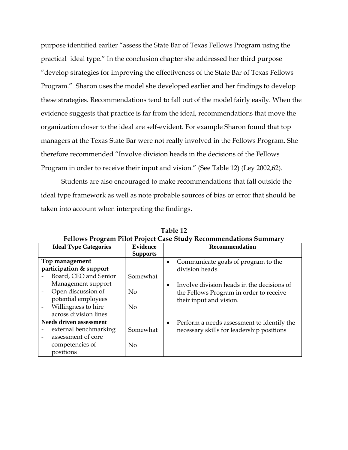purpose identified earlier "assess the State Bar of Texas Fellows Program using the practical ideal type." In the conclusion chapter she addressed her third purpose "develop strategies for improving the effectiveness of the State Bar of Texas Fellows Program." Sharon uses the model she developed earlier and her findings to develop these strategies. Recommendations tend to fall out of the model fairly easily. When the evidence suggests that practice is far from the ideal, recommendations that move the organization closer to the ideal are self-evident. For example Sharon found that top managers at the Texas State Bar were not really involved in the Fellows Program. She therefore recommended "Involve division heads in the decisions of the Fellows Program in order to receive their input and vision." (See Table 12) (Ley 2002,62).

 Students are also encouraged to make recommendations that fall outside the ideal type framework as well as note probable sources of bias or error that should be taken into account when interpreting the findings.

| <b>Ideal Type Categories</b>                                                                                                                                                          | <b>Evidence</b><br><b>Supports</b> | <b>Recommendation</b>                                                                                                                                                      |
|---------------------------------------------------------------------------------------------------------------------------------------------------------------------------------------|------------------------------------|----------------------------------------------------------------------------------------------------------------------------------------------------------------------------|
| Top management<br>participation & support<br>Board, CEO and Senior<br>Management support<br>Open discussion of<br>potential employees<br>Willingness to hire<br>across division lines | Somewhat<br>No<br>N <sub>o</sub>   | Communicate goals of program to the<br>division heads.<br>Involve division heads in the decisions of<br>the Fellows Program in order to receive<br>their input and vision. |
| <b>Needs driven assessment</b><br>external benchmarking<br>assessment of core<br>competencies of<br>positions                                                                         | Somewhat<br>$\rm No$               | Perform a needs assessment to identify the<br>necessary skills for leadership positions                                                                                    |

**Table 12 Fellows Program Pilot Project Case Study Recommendations Summary**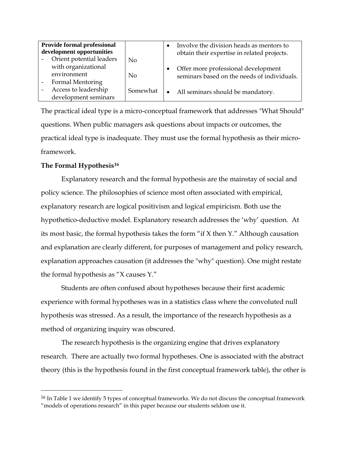| <b>Provide formal professional</b><br>development opportunities<br>Orient potential leaders | N <sub>0</sub> |           | Involve the division heads as mentors to<br>obtain their expertise in related projects. |
|---------------------------------------------------------------------------------------------|----------------|-----------|-----------------------------------------------------------------------------------------|
| with organizational<br>environment<br>Formal Mentoring                                      | No             |           | Offer more professional development<br>seminars based on the needs of individuals.      |
| Access to leadership<br>development seminars                                                | Somewhat       | $\bullet$ | All seminars should be mandatory.                                                       |

The practical ideal type is a micro-conceptual framework that addresses "What Should" questions. When public managers ask questions about impacts or outcomes, the practical ideal type is inadequate. They must use the formal hypothesis as their microframework.

### **The Formal Hypothesis[16](#page-32-0)**

 $\overline{a}$ 

 Explanatory research and the formal hypothesis are the mainstay of social and policy science. The philosophies of science most often associated with empirical, explanatory research are logical positivism and logical empiricism. Both use the hypothetico-deductive model. Explanatory research addresses the 'why' question. At its most basic, the formal hypothesis takes the form "if X then Y." Although causation and explanation are clearly different, for purposes of management and policy research, explanation approaches causation (it addresses the "why" question). One might restate the formal hypothesis as "X causes Y."

 Students are often confused about hypotheses because their first academic experience with formal hypotheses was in a statistics class where the convoluted null hypothesis was stressed. As a result, the importance of the research hypothesis as a method of organizing inquiry was obscured.

 The research hypothesis is the organizing engine that drives explanatory research. There are actually two formal hypotheses. One is associated with the abstract theory (this is the hypothesis found in the first conceptual framework table), the other is

<span id="page-32-0"></span><sup>&</sup>lt;sup>16</sup> In Table 1 we identify 5 types of conceptual frameworks. We do not discuss the conceptual framework "models of operations research" in this paper because our students seldom use it.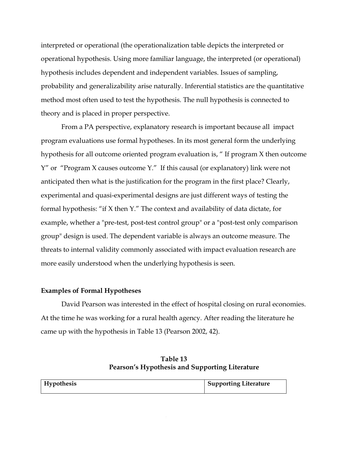interpreted or operational (the operationalization table depicts the interpreted or operational hypothesis. Using more familiar language, the interpreted (or operational) hypothesis includes dependent and independent variables. Issues of sampling, probability and generalizability arise naturally. Inferential statistics are the quantitative method most often used to test the hypothesis. The null hypothesis is connected to theory and is placed in proper perspective.

 From a PA perspective, explanatory research is important because all impact program evaluations use formal hypotheses. In its most general form the underlying hypothesis for all outcome oriented program evaluation is, " If program X then outcome Y" or "Program X causes outcome Y." If this causal (or explanatory) link were not anticipated then what is the justification for the program in the first place? Clearly, experimental and quasi-experimental designs are just different ways of testing the formal hypothesis: "if X then Y." The context and availability of data dictate, for example, whether a "pre-test, post-test control group" or a "post-test only comparison group" design is used. The dependent variable is always an outcome measure. The threats to internal validity commonly associated with impact evaluation research are more easily understood when the underlying hypothesis is seen.

### **Examples of Formal Hypotheses**

David Pearson was interested in the effect of hospital closing on rural economies. At the time he was working for a rural health agency. After reading the literature he came up with the hypothesis in Table 13 (Pearson 2002, 42).

| Table 13                                       |
|------------------------------------------------|
| Pearson's Hypothesis and Supporting Literature |

| Hypothesis | Supporting Literature |
|------------|-----------------------|
|            |                       |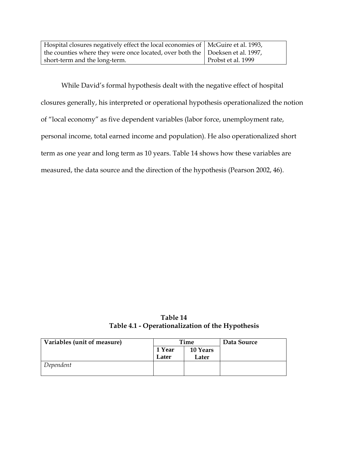| Hospital closures negatively effect the local economies of   McGuire et al. 1993, |                    |
|-----------------------------------------------------------------------------------|--------------------|
| the counties where they were once located, over both the   Doeksen et al. 1997,   |                    |
| short-term and the long-term.                                                     | Probst et al. 1999 |

While David's formal hypothesis dealt with the negative effect of hospital closures generally, his interpreted or operational hypothesis operationalized the notion of "local economy" as five dependent variables (labor force, unemployment rate, personal income, total earned income and population). He also operationalized short term as one year and long term as 10 years. Table 14 shows how these variables are measured, the data source and the direction of the hypothesis (Pearson 2002, 46).

**Table 14 Table 4.1 - Operationalization of the Hypothesis** 

| Variables (unit of measure) | Time   |          | Data Source |
|-----------------------------|--------|----------|-------------|
|                             | 1 Year | 10 Years |             |
|                             | Later  | Later    |             |
| Dependent                   |        |          |             |
|                             |        |          |             |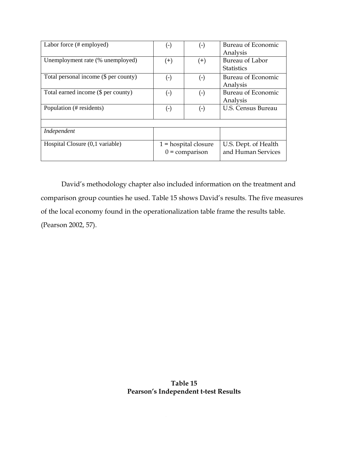| Labor force (# employed)              | $(\textnormal{-})$                         | $(\textnormal{-})$ | Bureau of Economic<br>Analysis             |
|---------------------------------------|--------------------------------------------|--------------------|--------------------------------------------|
| Unemployment rate (% unemployed)      | $(+)$                                      | $^{(+)}$           | Bureau of Labor<br><b>Statistics</b>       |
| Total personal income (\$ per county) | $(\textnormal{-})$                         | $(\textnormal{-})$ | Bureau of Economic<br>Analysis             |
| Total earned income (\$ per county)   | $(\text{-})$                               | $(\hbox{-})$       | Bureau of Economic<br>Analysis             |
| Population (# residents)              | $(\cdot)$                                  | (-)                | <b>U.S. Census Bureau</b>                  |
|                                       |                                            |                    |                                            |
| Independent                           |                                            |                    |                                            |
| Hospital Closure (0,1 variable)       | $1 =$ hospital closure<br>$0 =$ comparison |                    | U.S. Dept. of Health<br>and Human Services |

David's methodology chapter also included information on the treatment and comparison group counties he used. Table 15 shows David's results. The five measures of the local economy found in the operationalization table frame the results table. (Pearson 2002, 57).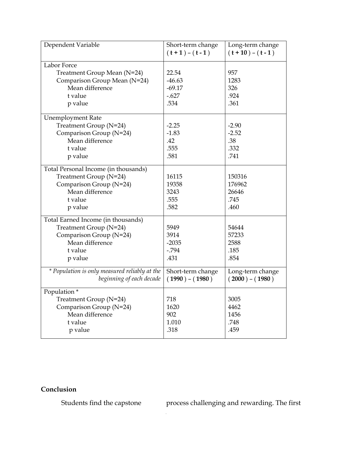| Dependent Variable                            | Short-term change<br>$(t+1) - (t-1)$ | Long-term change<br>$(t+10) - (t-1)$ |
|-----------------------------------------------|--------------------------------------|--------------------------------------|
| Labor Force                                   |                                      |                                      |
| Treatment Group Mean (N=24)                   | 22.54                                | 957                                  |
| Comparison Group Mean (N=24)                  | $-46.63$                             | 1283                                 |
| Mean difference                               | $-69.17$                             | 326                                  |
| t value                                       | $-.627$                              | .924                                 |
| p value                                       | .534                                 | .361                                 |
| <b>Unemployment Rate</b>                      |                                      |                                      |
| Treatment Group (N=24)                        | $-2.25$                              | $-2.90$                              |
| Comparison Group (N=24)                       | $-1.83$                              | $-2.52$                              |
| Mean difference                               | .42                                  | .38                                  |
| t value                                       | .555                                 | .332                                 |
| p value                                       | .581                                 | .741                                 |
| Total Personal Income (in thousands)          |                                      |                                      |
| Treatment Group (N=24)                        | 16115                                | 150316                               |
| Comparison Group (N=24)                       | 19358                                | 176962                               |
| Mean difference                               | 3243                                 | 26646                                |
| t value                                       | .555                                 | .745                                 |
| p value                                       | .582                                 | .460                                 |
| Total Earned Income (in thousands)            |                                      |                                      |
| Treatment Group (N=24)                        | 5949                                 | 54644                                |
| Comparison Group (N=24)                       | 3914                                 | 57233                                |
| Mean difference                               | $-2035$                              | 2588                                 |
| t value                                       | $-.794$                              | .185                                 |
| p value                                       | .431                                 | .854                                 |
| * Population is only measured reliably at the | Short-term change                    | Long-term change                     |
| beginning of each decade                      | $(1990) - (1980)$                    | $(2000) - (1980)$                    |
| Population*                                   |                                      |                                      |
| Treatment Group (N=24)                        | 718                                  | 3005                                 |
| Comparison Group (N=24)                       | 1620                                 | 4462                                 |
| Mean difference                               | 902                                  | 1456                                 |
| t value                                       | 1.010                                | .748                                 |
| p value                                       | .318                                 | .459                                 |

### **Conclusion**

Students find the capstone process challenging and rewarding. The first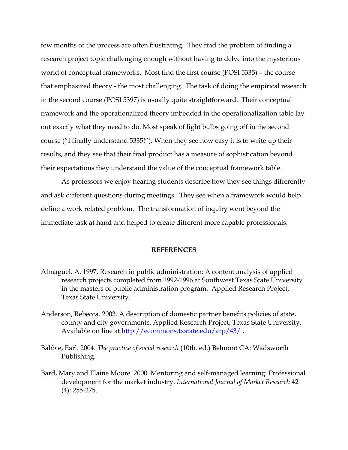few months of the process are often frustrating. They find the problem of finding a research project topic challenging enough without having to delve into the mysterious world of conceptual frameworks. Most find the first course (POSI 5335) – the course that emphasized theory - the most challenging. The task of doing the empirical research in the second course (POSI 5397) is usually quite straightforward. Their conceptual framework and the operationalized theory imbedded in the operationalization table lay out exactly what they need to do. Most speak of light bulbs going off in the second course ("I finally understand 5335!"). When they see how easy it is to write up their results, and they see that their final product has a measure of sophistication beyond their expectations they understand the value of the conceptual framework table.

 As professors we enjoy hearing students describe how they see things differently and ask different questions during meetings. They see when a framework would help define a work related problem. The transformation of inquiry went beyond the immediate task at hand and helped to create different more capable professionals.

#### **REFERENCES**

- Almaguel, A. 1997. Research in public administration: A content analysis of applied research projects completed from 1992-1996 at Southwest Texas State University in the masters of public administration program. Applied Research Project, Texas State University.
- Anderson, Rebecca. 2003. A description of domestic partner benefits policies of state, county and city governments. Applied Research Project, Texas State University. Available on line at http://ecommons.txstate.edu/arp/43/.
- Babbie, Earl. 2004. *The practice of social research* (10th. ed.) Belmont CA: Wadsworth Publishing.
- Bard, Mary and Elaine Moore. 2000. Mentoring and self-managed learning: Professional development for the market industry. *International Journal of Market Research* 42 (4): 255-275.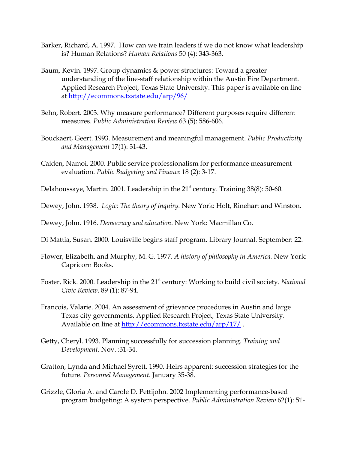- Barker, Richard, A. 1997. How can we train leaders if we do not know what leadership is? Human Relations? *Human Relations* 50 (4): 343-363.
- Baum, Kevin. 1997. Group dynamics & power structures: Toward a greater understanding of the line-staff relationship within the Austin Fire Department. Applied Research Project, Texas State University. This paper is available on line at <http://ecommons.txstate.edu/arp/96/>
- Behn, Robert. 2003. Why measure performance? Different purposes require different measures. *Public Administration Review* 63 (5): 586-606.
- Bouckaert, Geert. 1993. Measurement and meaningful management. *Public Productivity and Management* 17(1): 31-43.
- Caiden, Namoi. 2000. Public service professionalism for performance measurement evaluation. *Public Budgeting and Finance* 18 (2): 3-17.
- Delahoussaye, Martin. 2001. Leadership in the  $21<sup>st</sup>$  century. Training 38(8): 50-60.
- Dewey, John. 1938. *Logic: The theory of inquiry.* New York: Holt, Rinehart and Winston.

Dewey, John. 1916. *Democracy and education*. New York: Macmillan Co.

- Di Mattia, Susan. 2000. Louisville begins staff program. Library Journal. September: 22.
- Flower, Elizabeth. and Murphy, M. G. 1977. *A history of philosophy in America.* New York: Capricorn Books.
- Foster, Rick. 2000. Leadership in the 21<sup>st</sup> century: Working to build civil society. *National Civic Review*. 89 (1): 87-94.
- Francois, Valarie. 2004. An assessment of grievance procedures in Austin and large Texas city governments. Applied Research Project, Texas State University. Available on line at http://ecommons.txstate.edu/arp/17/.
- Getty, Cheryl. 1993. Planning successfully for succession planning. *Training and Development*. Nov. :31-34.
- Gratton, Lynda and Michael Syrett. 1990. Heirs apparent: succession strategies for the future. *Personnel Management*. January 35-38.
- Grizzle, Gloria A. and Carole D. Pettijohn. 2002 Implementing performance-based program budgeting: A system perspective. *Public Administration Review* 62(1): 51-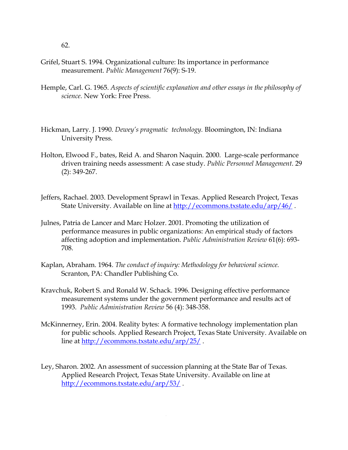- Grifel, Stuart S. 1994. Organizational culture: Its importance in performance measurement. *Public Management* 76(9): S-19.
- Hemple, Carl. G. 1965. *Aspects of scientific explanation and other essays in the philosophy of science.* New York: Free Press.
- Hickman, Larry. J. 1990. *Dewey's pragmatic technology.* Bloomington, IN: Indiana University Press.
- Holton, Elwood F., bates, Reid A. and Sharon Naquin. 2000. Large-scale performance driven training needs assessment: A case study. *Public Personnel Management*. 29 (2): 349-267.
- Jeffers, Rachael. 2003. Development Sprawl in Texas. Applied Research Project, Texas State University. Available on line at http://ecommons.txstate.edu/arp/46/.
- Julnes, Patria de Lancer and Marc Holzer. 2001. Promoting the utilization of performance measures in public organizations: An empirical study of factors affecting adoption and implementation. *Public Administration Review* 61(6): 693- 708.
- Kaplan, Abraham. 1964. *The conduct of inquiry: Methodology for behavioral science.* Scranton, PA: Chandler Publishing Co.
- Kravchuk, Robert S. and Ronald W. Schack. 1996. Designing effective performance measurement systems under the government performance and results act of 1993. *Public Administration Review* 56 (4): 348-358.
- McKinnerney, Erin. 2004. Reality bytes: A formative technology implementation plan for public schools. Applied Research Project, Texas State University. Available on line at <http://ecommons.txstate.edu/arp/25/> .
- Ley, Sharon. 2002. An assessment of succession planning at the State Bar of Texas. Applied Research Project, Texas State University. Available on line at http://ecommons.txstate.edu/arp/53/.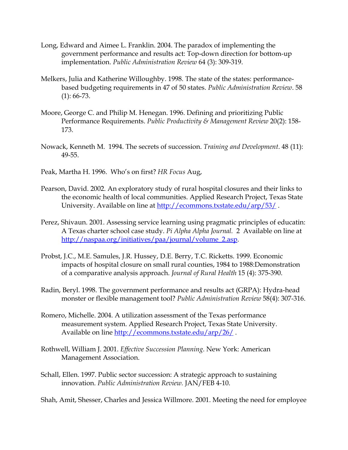- Long, Edward and Aimee L. Franklin. 2004. The paradox of implementing the government performance and results act: Top-down direction for bottom-up implementation. *Public Administration Review* 64 (3): 309-319.
- Melkers, Julia and Katherine Willoughby. 1998. The state of the states: performancebased budgeting requirements in 47 of 50 states. *Public Administration Review*. 58 (1): 66-73.
- Moore, George C. and Philip M. Henegan. 1996. Defining and prioritizing Public Performance Requirements. *Public Productivity & Management Review* 20(2): 158- 173.
- Nowack, Kenneth M. 1994. The secrets of succession. *Training and Development*. 48 (11): 49-55.
- Peak, Martha H. 1996. Who's on first? *HR Focus* Aug,
- Pearson, David. 2002. An exploratory study of rural hospital closures and their links to the economic health of local communities. Applied Research Project, Texas State University. Available on line at<http://ecommons.txstate.edu/arp/53/>.
- Perez, Shivaun. 2001. Assessing service learning using pragmatic principles of educatin: A Texas charter school case study. *Pi Alpha Alpha Journal.* 2 Available on line at [http://naspaa.org/initiatives/paa/journal/volume\\_2.asp.](http://naspaa.org/initiatives/paa/journal/volume_2.asp)
- Probst, J.C., M.E. Samules, J.R. Hussey, D.E. Berry, T.C. Ricketts. 1999. Economic impacts of hospital closure on small rural counties, 1984 to 1988:Demonstration of a comparative analysis approach. *Journal of Rural Health* 15 (4): 375-390.
- Radin, Beryl. 1998. The government performance and results act (GRPA): Hydra-head monster or flexible management tool? *Public Administration Review* 58(4): 307-316.
- Romero, Michelle. 2004. A utilization assessment of the Texas performance measurement system. Applied Research Project, Texas State University. Available on line http://ecommons.txstate.edu/arp/26/.
- Rothwell, William J. 2001. *Effective Succession Planning*. New York: American Management Association.
- Schall, Ellen. 1997. Public sector succession: A strategic approach to sustaining innovation. *Public Administration Review.* JAN/FEB 4-10.

Shah, Amit, Shesser, Charles and Jessica Willmore. 2001. Meeting the need for employee